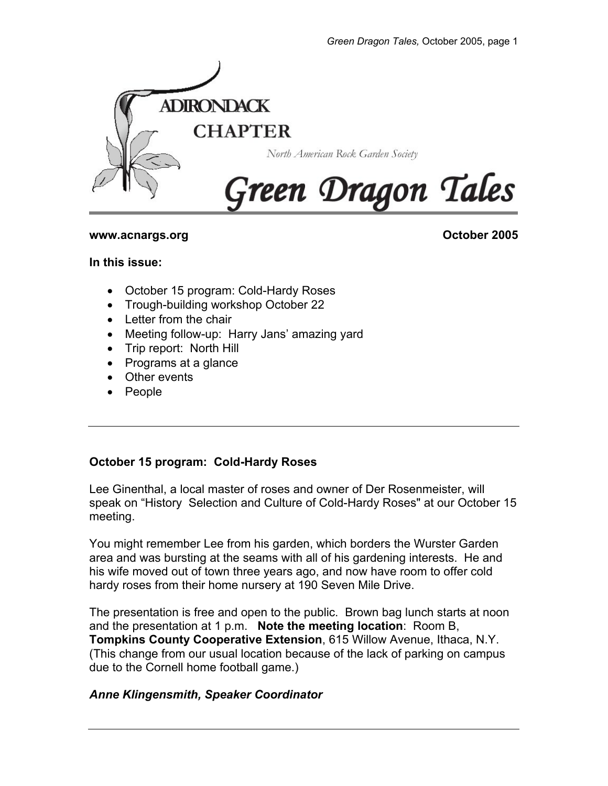

### **www.acnargs.org Community Community Community Community Community Community Community Community Community Community**

#### **In this issue:**

- October 15 program: Cold-Hardy Roses
- Trough-building workshop October 22
- Letter from the chair
- Meeting follow-up: Harry Jans' amazing yard
- Trip report: North Hill
- Programs at a glance
- Other events
- People

## **October 15 program: Cold-Hardy Roses**

Lee Ginenthal, a local master of roses and owner of Der Rosenmeister, will speak on "History Selection and Culture of Cold-Hardy Roses" at our October 15 meeting.

You might remember Lee from his garden, which borders the Wurster Garden area and was bursting at the seams with all of his gardening interests. He and his wife moved out of town three years ago, and now have room to offer cold hardy roses from their home nursery at 190 Seven Mile Drive.

The presentation is free and open to the public. Brown bag lunch starts at noon and the presentation at 1 p.m. **Note the meeting location**: Room B, **Tompkins County Cooperative Extension**, 615 Willow Avenue, Ithaca, N.Y. (This change from our usual location because of the lack of parking on campus due to the Cornell home football game.)

## *Anne Klingensmith, Speaker Coordinator*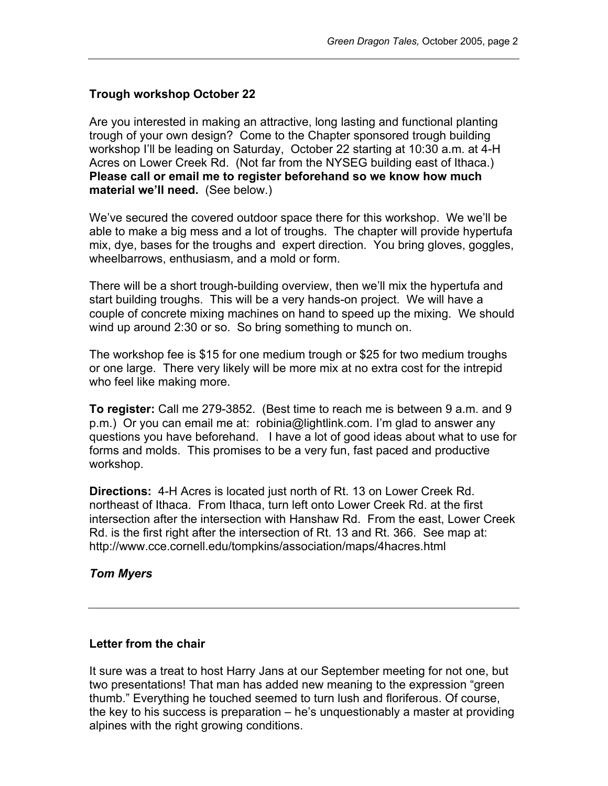# **Trough workshop October 22**

Are you interested in making an attractive, long lasting and functional planting trough of your own design? Come to the Chapter sponsored trough building workshop I'll be leading on Saturday, October 22 starting at 10:30 a.m. at 4-H Acres on Lower Creek Rd. (Not far from the NYSEG building east of Ithaca.) **Please call or email me to register beforehand so we know how much material we'll need.** (See below.)

We've secured the covered outdoor space there for this workshop. We we'll be able to make a big mess and a lot of troughs. The chapter will provide hypertufa mix, dye, bases for the troughs and expert direction. You bring gloves, goggles, wheelbarrows, enthusiasm, and a mold or form.

There will be a short trough-building overview, then we'll mix the hypertufa and start building troughs. This will be a very hands-on project. We will have a couple of concrete mixing machines on hand to speed up the mixing. We should wind up around 2:30 or so. So bring something to munch on.

The workshop fee is \$15 for one medium trough or \$25 for two medium troughs or one large. There very likely will be more mix at no extra cost for the intrepid who feel like making more.

**To register:** Call me 279-3852. (Best time to reach me is between 9 a.m. and 9 p.m.) Or you can email me at: robinia@lightlink.com. I'm glad to answer any questions you have beforehand. I have a lot of good ideas about what to use for forms and molds. This promises to be a very fun, fast paced and productive workshop.

**Directions:** 4-H Acres is located just north of Rt. 13 on Lower Creek Rd. northeast of Ithaca. From Ithaca, turn left onto Lower Creek Rd. at the first intersection after the intersection with Hanshaw Rd. From the east, Lower Creek Rd. is the first right after the intersection of Rt. 13 and Rt. 366. See map at: http://www.cce.cornell.edu/tompkins/association/maps/4hacres.html

## *Tom Myers*

## **Letter from the chair**

It sure was a treat to host Harry Jans at our September meeting for not one, but two presentations! That man has added new meaning to the expression "green thumb." Everything he touched seemed to turn lush and floriferous. Of course, the key to his success is preparation – he's unquestionably a master at providing alpines with the right growing conditions.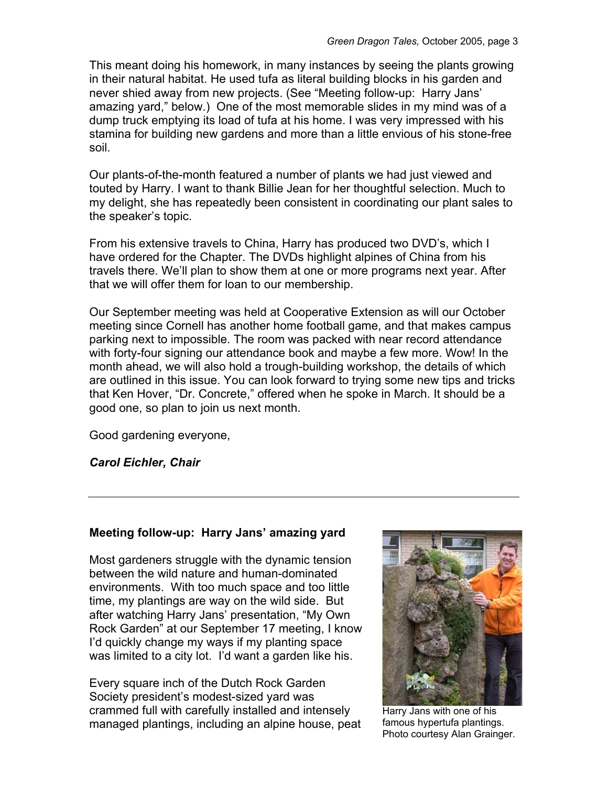This meant doing his homework, in many instances by seeing the plants growing in their natural habitat. He used tufa as literal building blocks in his garden and never shied away from new projects. (See "Meeting follow-up: Harry Jans' amazing yard," below.) One of the most memorable slides in my mind was of a dump truck emptying its load of tufa at his home. I was very impressed with his stamina for building new gardens and more than a little envious of his stone-free soil.

Our plants-of-the-month featured a number of plants we had just viewed and touted by Harry. I want to thank Billie Jean for her thoughtful selection. Much to my delight, she has repeatedly been consistent in coordinating our plant sales to the speaker's topic.

From his extensive travels to China, Harry has produced two DVD's, which I have ordered for the Chapter. The DVDs highlight alpines of China from his travels there. We'll plan to show them at one or more programs next year. After that we will offer them for loan to our membership.

Our September meeting was held at Cooperative Extension as will our October meeting since Cornell has another home football game, and that makes campus parking next to impossible. The room was packed with near record attendance with forty-four signing our attendance book and maybe a few more. Wow! In the month ahead, we will also hold a trough-building workshop, the details of which are outlined in this issue. You can look forward to trying some new tips and tricks that Ken Hover, "Dr. Concrete," offered when he spoke in March. It should be a good one, so plan to join us next month.

Good gardening everyone,

*Carol Eichler, Chair* 

# **Meeting follow-up: Harry Jans' amazing yard**

Most gardeners struggle with the dynamic tension between the wild nature and human-dominated environments. With too much space and too little time, my plantings are way on the wild side. But after watching Harry Jans' presentation, "My Own Rock Garden" at our September 17 meeting, I know I'd quickly change my ways if my planting space was limited to a city lot. I'd want a garden like his.

Every square inch of the Dutch Rock Garden Society president's modest-sized yard was crammed full with carefully installed and intensely managed plantings, including an alpine house, peat



Harry Jans with one of his famous hypertufa plantings. Photo courtesy Alan Grainger.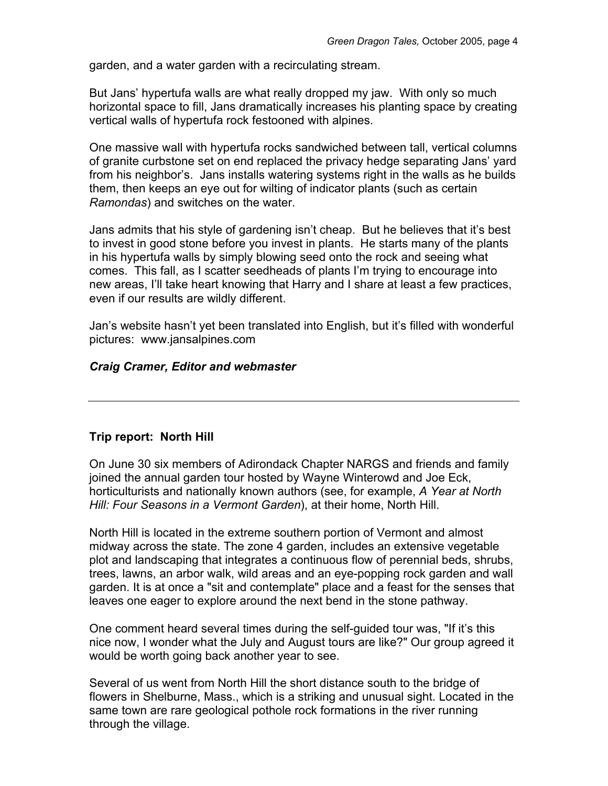garden, and a water garden with a recirculating stream.

But Jans' hypertufa walls are what really dropped my jaw. With only so much horizontal space to fill, Jans dramatically increases his planting space by creating vertical walls of hypertufa rock festooned with alpines.

One massive wall with hypertufa rocks sandwiched between tall, vertical columns of granite curbstone set on end replaced the privacy hedge separating Jans' yard from his neighbor's. Jans installs watering systems right in the walls as he builds them, then keeps an eye out for wilting of indicator plants (such as certain *Ramondas*) and switches on the water.

Jans admits that his style of gardening isn't cheap. But he believes that it's best to invest in good stone before you invest in plants. He starts many of the plants in his hypertufa walls by simply blowing seed onto the rock and seeing what comes. This fall, as I scatter seedheads of plants I'm trying to encourage into new areas, I'll take heart knowing that Harry and I share at least a few practices, even if our results are wildly different.

Jan's website hasn't yet been translated into English, but it's filled with wonderful pictures: www.jansalpines.com

#### *Craig Cramer, Editor and webmaster*

## **Trip report: North Hill**

On June 30 six members of Adirondack Chapter NARGS and friends and family joined the annual garden tour hosted by Wayne Winterowd and Joe Eck, horticulturists and nationally known authors (see, for example, *A Year at North Hill: Four Seasons in a Vermont Garden*), at their home, North Hill.

North Hill is located in the extreme southern portion of Vermont and almost midway across the state. The zone 4 garden, includes an extensive vegetable plot and landscaping that integrates a continuous flow of perennial beds, shrubs, trees, lawns, an arbor walk, wild areas and an eye-popping rock garden and wall garden. It is at once a "sit and contemplate" place and a feast for the senses that leaves one eager to explore around the next bend in the stone pathway.

One comment heard several times during the self-guided tour was, "If it's this nice now, I wonder what the July and August tours are like?" Our group agreed it would be worth going back another year to see.

Several of us went from North Hill the short distance south to the bridge of flowers in Shelburne, Mass., which is a striking and unusual sight. Located in the same town are rare geological pothole rock formations in the river running through the village.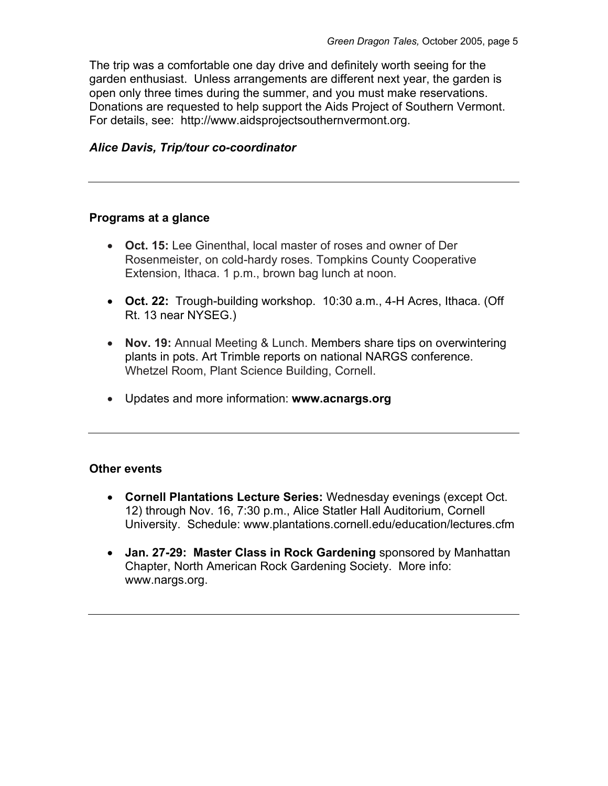The trip was a comfortable one day drive and definitely worth seeing for the garden enthusiast. Unless arrangements are different next year, the garden is open only three times during the summer, and you must make reservations. Donations are requested to help support the Aids Project of Southern Vermont. For details, see: http://www.aidsprojectsouthernvermont.org.

## *Alice Davis, Trip/tour co-coordinator*

#### **Programs at a glance**

- **Oct. 15:** Lee Ginenthal, local master of roses and owner of Der Rosenmeister, on cold-hardy roses. Tompkins County Cooperative Extension, Ithaca. 1 p.m., brown bag lunch at noon.
- **Oct. 22:** Trough-building workshop. 10:30 a.m., 4-H Acres, Ithaca. (Off Rt. 13 near NYSEG.)
- **Nov. 19:** Annual Meeting & Lunch. Members share tips on overwintering plants in pots. Art Trimble reports on national NARGS conference. Whetzel Room, Plant Science Building, Cornell.
- Updates and more information: **www.acnargs.org**

## **Other events**

- **Cornell Plantations Lecture Series:** Wednesday evenings (except Oct. 12) through Nov. 16, 7:30 p.m., Alice Statler Hall Auditorium, Cornell University. Schedule: www.plantations.cornell.edu/education/lectures.cfm
- **Jan. 27-29: Master Class in Rock Gardening** sponsored by Manhattan Chapter, North American Rock Gardening Society. More info: www.nargs.org.